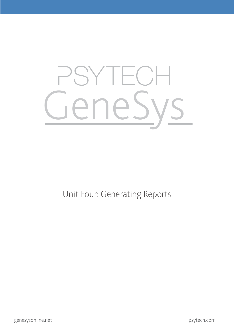

Unit Four: Generating Reports

psytech.com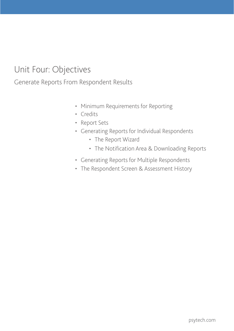# Unit Four: Objectives

Generate Reports From Respondent Results

- Minimum Requirements for Reporting
- • Credits
- • Report Sets
- • Generating Reports for Individual Respondents
	- • The Report Wizard
	- • The Notification Area & Downloading Reports
- • Generating Reports for Multiple Respondents
- The Respondent Screen & Assessment History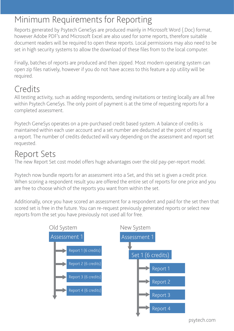# Minimum Requirements for Reporting

Reports generated by Psytech GeneSys are produced mainly in Microsoft Word (.Doc) format, however Adobe PDF's and Microsoft Excel are also used for some reports, therefore suitable document readers will be required to open these reports. Local permissions may also need to be set in high security systems to allow the download of these files from to the local computer.

Finally, batches of reports are produced and then zipped. Most modern operating system can open zip files natively, however if you do not have access to this feature a zip utility will be required.

## **Credits**

All testing activity, such as adding respondents, sending invitations or testing locally are all free within Psytech GeneSys. The only point of payment is at the time of requesting reports for a completed assessment.

Psytech GeneSys operates on a pre-purchased credit based system. A balance of credits is maintained within each user account and a set number are deducted at the point of requestig a report. The number of credits deducted will vary depending on the assessment and report set requested.

#### Report Sets

The new Report Set cost model offers huge advantages over the old pay-per-report model.

Psytech now bundle reports for an assessment into a Set, and this set is given a credit price. When scoring a respondent result you are offered the entire set of reports for one price and you are free to choose which of the reports you want from within the set.

Additionally, once you have scored an assessment for a respondent and paid for the set then that scored set is free in the future. You can re-request previously generated reports or select new reports from the set you have previously not used all for free.



psytech.com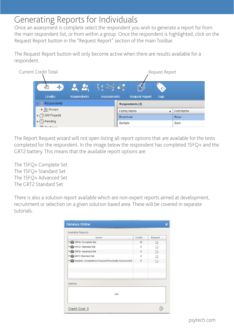## Generating Reports for Individuals

Once an assessment is complete select the respondent you wish to generate a report for from the main respondent list, or from within a group. Once the respondent is highlighted, click on the Request Report button in the "Request Report" section of the main Toolbar.

The Request Report button will only become active when there are results available for a respondent.

| <b>Current Credit Total</b>                                    |                    |             |                    |                        | Request Report |              |
|----------------------------------------------------------------|--------------------|-------------|--------------------|------------------------|----------------|--------------|
| 40<br>Credits                                                  | <b>Respondents</b> | Assessments | PY.                | <b>Request Report</b>  | Tags           |              |
| Respondents<br>۷                                               |                    |             |                    | <b>Respondents (2)</b> |                |              |
| $\blacktriangleright$ $\mathbf{0}$ Groups<br>360 Projects<br>r |                    |             | Family Name        |                        | ٠              | First Name   |
| Pending<br>►<br>$ E$ $ -$                                      |                    |             | Bradshaw<br>Sample |                        |                | Brian<br>Sam |

The Report Request wizard will not open listing all report options that are available for the tests completed for the respondent. In the image below the respondent has completed 15FQ+ and the GRT2 battery. This means that the available report options are:

The 15FQ+ Complete Set The 15FQ+ Standard Set The 15FQ+ Advanced Set The GRT2 Standard Set

There is also a solution report available which are non-expert reports aimed at development, recruitment or selection on a given solution based area. These will be covered in separate tutorials.

| Name                                                  | Credits   | Request |  |
|-------------------------------------------------------|-----------|---------|--|
| In 15FQ+ Complete Set                                 | 10        | □       |  |
| In 15FQ+ Standard Set                                 | 6         | m.      |  |
| In 15FQ+ Advanced Set                                 | 6         | Ω       |  |
| GRT2 Standard Set                                     | $\bar{2}$ |         |  |
| > Solution: Competency Focused Personality Assessment | 6         | □       |  |
|                                                       |           |         |  |
|                                                       |           |         |  |
|                                                       |           |         |  |
| Options                                               |           |         |  |
| <b>NIA</b>                                            |           |         |  |
|                                                       |           |         |  |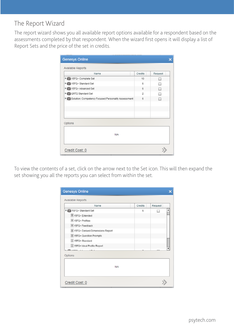#### The Report Wizard

The report wizard shows you all available report options available for a respondent based on the assessments completed by that respondent. When the wizard first opens it will display a list of Report Sets and the price of the set in credits.

| Name                                                | Credits    | Request |
|-----------------------------------------------------|------------|---------|
| Filip 15FQ+ Complete Set                            | 10         | □       |
| File 15FQ+ Standard Set                             | 6          | u       |
| 15FQ+ Advanced Set                                  | 6          | $\Box$  |
| GRT2 Standard Set                                   | $\ddot{2}$ | □       |
| Solution: Competency Focused Personality Assessment | 6          | □       |
|                                                     |            |         |
| Options                                             |            |         |
| N/A                                                 |            |         |

To view the contents of a set, click on the arrow next to the Set icon. This will then expand the set showing you all the reports you can select from within the set.

| Name                              | Credits | Request |  |
|-----------------------------------|---------|---------|--|
| V 15FQ+ Standard Set              | 6       |         |  |
| E 15FQ+ Extended                  |         |         |  |
| 目15FQ+ Profiles                   |         |         |  |
| E 15FQ+ Feedback                  |         |         |  |
| E 15FQ+ Derived Dimensions Report |         |         |  |
| ≡ 15FQ+ Question Prompts          |         |         |  |
| ≡ 15FQ+ Standard                  |         |         |  |
| ≡ 15FQ+ Ideal Profile Report      |         |         |  |
| <b>BLARRA</b><br>$-$<br>          |         |         |  |
| Options                           |         |         |  |
|                                   |         |         |  |
| <b>N/A</b>                        |         |         |  |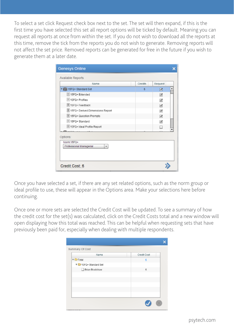To select a set click Request check box next to the set. The set will then expand, if this is the first time you have selected this set all report options will be ticked by default. Meaning you can request all reports at once from within the set. If you do not wish to download all the reports at this time, remove the tick from the reports you do not wish to generate. Removing reports will not affect the set price. Removed reports can be generated for free in the future if you wish to generate them at a later date.

| Name                                       | Credits | Request |
|--------------------------------------------|---------|---------|
| Vivil 15FQ+ Standard Set                   | 6       | ⊠       |
| ≡ 15FQ+ Extended                           |         | ☑       |
| E 15FQ+ Profiles                           |         | ⊻       |
| 15FQ+Feedback                              |         | ☑       |
| 15FQ+ Derived Dimensions Report            |         | ☑       |
| 目 15FQ+ Question Prompts                   |         | ☑       |
| [E] 15FQ+ Standard                         |         | ☑       |
| E 15FQ+ Ideal Profile Report               |         | ш       |
| Options:                                   |         |         |
| Norm:15FO+<br>Professional Managerial<br>۰ |         |         |

Once you have selected a set, if there are any set related options, such as the norm group or ideal profile to use, these will appear in the Options area. Make your selections here before continuing.

Once one or more sets are selected the Credit Cost will be updated. To see a summary of how the credit cost for the set(s) was calculated, click on the Credit Costs total and a new window will open displaying how this total was reached. This can be helpful when requesting sets that have previously been paid for, especially when dealing with multiple respondents.

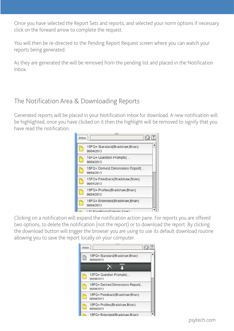Once you have selected the Report Sets and reports, and selected your norm options if necessary click on the forward arrow to complete the request.

You will then be re-directed to the Pending Report Request screen where you can watch your reports being generated.

As they are generated the will be removed from the pending list and placed in the Notification Inbox.

#### The Notification Area & Downloading Reports

Generated reports will be placed in your Notification Inbox for download. A new notification will be highlighted, once you have clicked on it then the highlight will be removed to signify that you have read the notification.

| Inbox |                                                |  |
|-------|------------------------------------------------|--|
|       | 15FQ+ Standard(Bradshaw,Brian)<br>06/04/2013   |  |
|       | 15FQ+ Question Prompts(<br>06/04/2013          |  |
|       | 15FQ+ Derived Dimensions Report(<br>06/04/2013 |  |
|       | 15FQ+Feedback(Bradshaw,Brian)<br>06/04/2013    |  |
|       | 15FQ+ Profiles(Bradshaw,Brian)<br>06/04/2013   |  |
|       | 15FQ+ Extended(Bradshaw,Brian)<br>06/04/2013   |  |
|       |                                                |  |

Clicking on a notification will expand the notification action pane. For reports you are offered two options, to delete the notification (not the report) or to download the report. By clicking the download button will trigger the browser you are using to use its default download routine allowing you to save the report locally on your computer.

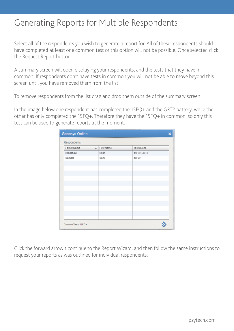### Generating Reports for Multiple Respondents

Select all of the respondents you wish to generate a report for. All of these respondents should have completed at least one common test or this option will not be possible. Once selected click the Request Report button.

A summary screen will open displaying your respondents, and the tests that they have in common. If respondents don't have tests in common you will not be able to move beyond this screen until you have removed them from the list.

To remove respondents from the list drag and drop them outside of the summary screen.

In the image below one respondent has completed the 15FQ+ and the GRT2 battery, while the other has only completed the 15FQ+. Therefore they have the 15FQ+ in common, so only this test can be used to generate reports at the moment.

| Family Name | $\blacktriangle$ | First Name | <b>Tests Done</b> |  |
|-------------|------------------|------------|-------------------|--|
| Bradshaw    |                  | Brian      | 15FQ+,GRT2        |  |
| Sample      |                  | Sam        | 15FQ+             |  |
|             |                  |            |                   |  |
|             |                  |            |                   |  |
|             |                  |            |                   |  |
|             |                  |            |                   |  |
|             |                  |            |                   |  |
|             |                  |            |                   |  |
|             |                  |            |                   |  |
|             |                  |            |                   |  |
|             |                  |            |                   |  |

Click the forward arrow t continue to the Report Wizard, and then follow the same instructions to request your reports as was outlined for individual respondents.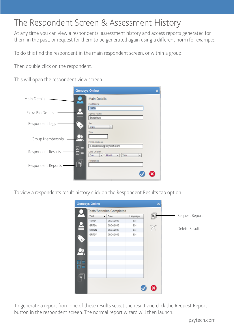### The Respondent Screen & Assessment History

At any time you can view a respondents' assessment history and access reports generated for them in the past, or request for them to be generated again using a different norm for example.

To do this find the respondent in the main respondent screen, or within a group.

Then double click on the respondent.

This will open the respondent view screen.

|                    | <b>Genesys Online</b>                                                                           |  |
|--------------------|-------------------------------------------------------------------------------------------------|--|
| Main Details -     | <b>Main Details</b><br>First Name                                                               |  |
| Extra Bio Details  | Brian<br>Family Name<br>Bradshaw                                                                |  |
| Respondent Tags    | Sex<br><b>Male</b><br>٠                                                                         |  |
| Group Membership   | Title<br>Email Address<br>b.bradshaw@psytech.com                                                |  |
| Respondent Results | $\Box$<br>Date Of Birth<br>$\blacksquare$ $\blacksquare$<br>Day<br>Month<br>Year<br>۰<br>٠<br>۰ |  |
| Respondent Reports | Reference<br>۹                                                                                  |  |
|                    |                                                                                                 |  |

To view a respondents result history click on the Respondent Results tab option.



To generate a report from one of these results select the result and click the Request Report button in the respondent screen. The normal report wizard will then launch.

psytech.com